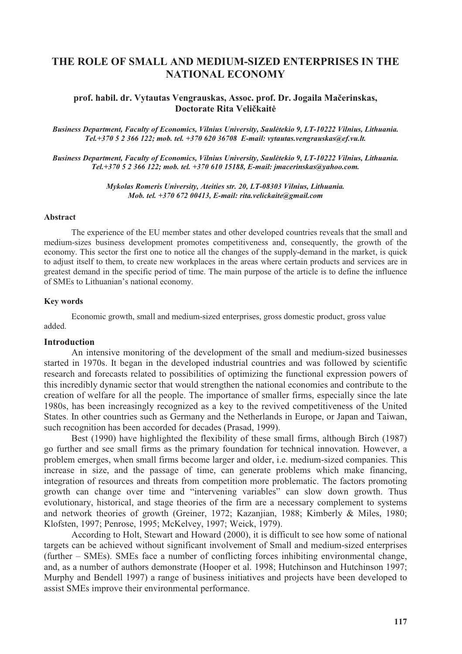# **THE ROLE OF SMALL AND MEDIUM-SIZED ENTERPRISES IN THE NATIONAL ECONOMY**

# **prof. habil. dr. Vytautas Vengrauskas, Assoc. prof. Dr. Jogaila Maerinskas, Doctorate Rita Velikait**

*Business Department, Faculty of Economics, Vilnius University, Saultekio 9, LT-10222 Vilnius, Lithuania. Tel.+370 5 2 366 122; mob. tel. +370 620 36708 E-mail: vytautas.vengrauskas@ef.vu.lt.* 

*Business Department, Faculty of Economics, Vilnius University, Saultekio 9, LT-10222 Vilnius, Lithuania. Tel.+370 5 2 366 122; mob. tel. +370 610 15188, E-mail: jmacerinskas@yahoo.com.* 

> *Mykolas Romeris University, Ateities str. 20, LT-08303 Vilnius, Lithuania. Mob. tel. +370 672 00413, E-mail: rita.velickaite@gmail.com*

# **Abstract**

The experience of the EU member states and other developed countries reveals that the small and medium-sizes business development promotes competitiveness and, consequently, the growth of the economy. This sector the first one to notice all the changes of the supply-demand in the market, is quick to adjust itself to them, to create new workplaces in the areas where certain products and services are in greatest demand in the specific period of time. The main purpose of the article is to define the influence of SMEs to Lithuanian's national economy.

# **Key words**

Economic growth, small and medium-sized enterprises, gross domestic product, gross value added.

### **Introduction**

An intensive monitoring of the development of the small and medium-sized businesses started in 1970s. It began in the developed industrial countries and was followed by scientific research and forecasts related to possibilities of optimizing the functional expression powers of this incredibly dynamic sector that would strengthen the national economies and contribute to the creation of welfare for all the people. The importance of smaller firms, especially since the late 1980s, has been increasingly recognized as a key to the revived competitiveness of the United States. In other countries such as Germany and the Netherlands in Europe, or Japan and Taiwan, such recognition has been accorded for decades (Prasad, 1999).

Best (1990) have highlighted the flexibility of these small firms, although Birch (1987) go further and see small firms as the primary foundation for technical innovation. However, a problem emerges, when small firms become larger and older, i.e. medium-sized companies. This increase in size, and the passage of time, can generate problems which make financing, integration of resources and threats from competition more problematic. The factors promoting growth can change over time and "intervening variables" can slow down growth. Thus evolutionary, historical, and stage theories of the firm are a necessary complement to systems and network theories of growth (Greiner, 1972; Kazanjian, 1988; Kimberly & Miles, 1980; Klofsten, 1997; Penrose, 1995; McKelvey, 1997; Weick, 1979).

According to Holt, Stewart and Howard (2000), it is difficult to see how some of national targets can be achieved without significant involvement of Small and medium-sized enterprises (further – SMEs). SMEs face a number of conflicting forces inhibiting environmental change, and, as a number of authors demonstrate (Hooper et al. 1998; Hutchinson and Hutchinson 1997; Murphy and Bendell 1997) a range of business initiatives and projects have been developed to assist SMEs improve their environmental performance.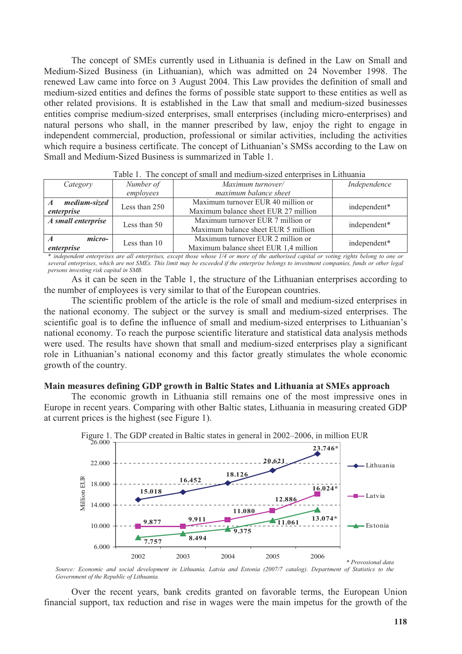The concept of SMEs currently used in Lithuania is defined in the Law on Small and Medium-Sized Business (in Lithuanian), which was admitted on 24 November 1998. The renewed Law came into force on 3 August 2004. This Law provides the definition of small and medium-sized entities and defines the forms of possible state support to these entities as well as other related provisions. It is established in the Law that small and medium-sized businesses entities comprise medium-sized enterprises, small enterprises (including micro-enterprises) and natural persons who shall, in the manner prescribed by law, enjoy the right to engage in independent commercial, production, professional or similar activities, including the activities which require a business certificate. The concept of Lithuanian's SMSs according to the Law on Small and Medium-Sized Business is summarized in Table 1.

| Twore It The concept of shimil will hielarmic silled enterprised in Enthuminu |               |                                       |              |  |  |  |  |  |
|-------------------------------------------------------------------------------|---------------|---------------------------------------|--------------|--|--|--|--|--|
| Number of<br>Category                                                         |               | Maximum turnover/                     | Independence |  |  |  |  |  |
|                                                                               | employees     | maximum balance sheet                 |              |  |  |  |  |  |
| medium-sized                                                                  | Less than 250 | Maximum turnover EUR 40 million or    | independent* |  |  |  |  |  |
| enterprise                                                                    |               | Maximum balance sheet EUR 27 million  |              |  |  |  |  |  |
| A small enterprise                                                            | Less than 50  | Maximum turnover EUR 7 million or     | independent* |  |  |  |  |  |
|                                                                               |               | Maximum balance sheet EUR 5 million   |              |  |  |  |  |  |
| micro-                                                                        | Less than 10  | Maximum turnover EUR 2 million or     | independent* |  |  |  |  |  |
| enterprise                                                                    |               | Maximum balance sheet EUR 1,4 million |              |  |  |  |  |  |

| Table 1. The concept of small and medium-sized enterprises in Lithuania |  |  |  |  |
|-------------------------------------------------------------------------|--|--|--|--|
|                                                                         |  |  |  |  |

\* *independent enterprises are all enterprises, except those whose 1/4 or more of the authorised capital or voting rights belong to one or several enterprises, which are not SMEs. This limit may be exceeded if the enterprise belongs to investment companies, funds or other legal persons investing risk capital in SMB.* 

As it can be seen in the Table 1, the structure of the Lithuanian enterprises according to the number of employees is very similar to that of the European countries.

The scientific problem of the article is the role of small and medium-sized enterprises in the national economy. The subject or the survey is small and medium-sized enterprises. The scientific goal is to define the influence of small and medium-sized enterprises to Lithuanian's national economy. To reach the purpose scientific literature and statistical data analysis methods were used. The results have shown that small and medium-sized enterprises play a significant role in Lithuanian's national economy and this factor greatly stimulates the whole economic growth of the country.

# **Main measures defining GDP growth in Baltic States and Lithuania at SMEs approach**

The economic growth in Lithuania still remains one of the most impressive ones in Europe in recent years. Comparing with other Baltic states, Lithuania in measuring created GDP at current prices is the highest (see Figure 1).



*Source: Economic and social development in Lithuania, Latvia and Estonia (2007/7 catalog). Department of Statistics to the Government of the Republic of Lithuania.* 

Over the recent years, bank credits granted on favorable terms, the European Union financial support, tax reduction and rise in wages were the main impetus for the growth of the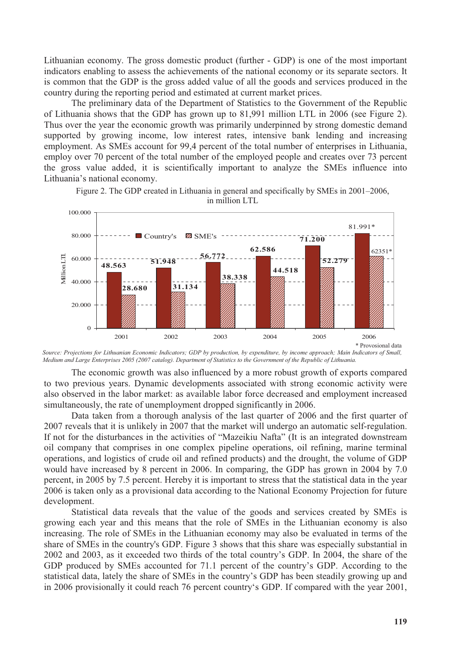Lithuanian economy. The gross domestic product (further - GDP) is one of the most important indicators enabling to assess the achievements of the national economy or its separate sectors. It is common that the GDP is the gross added value of all the goods and services produced in the country during the reporting period and estimated at current market prices.

The preliminary data of the Department of Statistics to the Government of the Republic of Lithuania shows that the GDP has grown up to 81,991 million LTL in 2006 (see Figure 2). Thus over the year the economic growth was primarily underpinned by strong domestic demand supported by growing income, low interest rates, intensive bank lending and increasing employment. As SMEs account for 99,4 percent of the total number of enterprises in Lithuania, employ over 70 percent of the total number of the employed people and creates over 73 percent the gross value added, it is scientifically important to analyze the SMEs influence into Lithuania's national economy.



Figure 2. The GDP created in Lithuania in general and specifically by SMEs in 2001–2006, in million LTL

The economic growth was also influenced by a more robust growth of exports compared to two previous years. Dynamic developments associated with strong economic activity were also observed in the labor market: as available labor force decreased and employment increased simultaneously, the rate of unemployment dropped significantly in 2006.

Data taken from a thorough analysis of the last quarter of 2006 and the first quarter of 2007 reveals that it is unlikely in 2007 that the market will undergo an automatic self-regulation. If not for the disturbances in the activities of "Mazeikiu Nafta" (It is an integrated downstream oil company that comprises in one complex pipeline operations, oil refining, marine terminal operations, and logistics of crude oil and refined products) and the drought, the volume of GDP would have increased by 8 percent in 2006. In comparing, the GDP has grown in 2004 by 7.0 percent, in 2005 by 7.5 percent. Hereby it is important to stress that the statistical data in the year 2006 is taken only as a provisional data according to the National Economy Projection for future development.

Statistical data reveals that the value of the goods and services created by SMEs is growing each year and this means that the role of SMEs in the Lithuanian economy is also increasing. The role of SMEs in the Lithuanian economy may also be evaluated in terms of the share of SMEs in the country's GDP. Figure 3 shows that this share was especially substantial in 2002 and 2003, as it exceeded two thirds of the total country's GDP. In 2004, the share of the GDP produced by SMEs accounted for 71.1 percent of the country's GDP. According to the statistical data, lately the share of SMEs in the country's GDP has been steadily growing up and in 2006 provisionally it could reach 76 percent country's GDP. If compared with the year 2001,

*Source: Projections for Lithuanian Economic Indicators; GDP by production, by expenditure, by income approach; Main Indicators of Small, Medium and Large Enterprises 2005 (2007 catalog). Department of Statistics to the Government of the Republic of Lithuania.*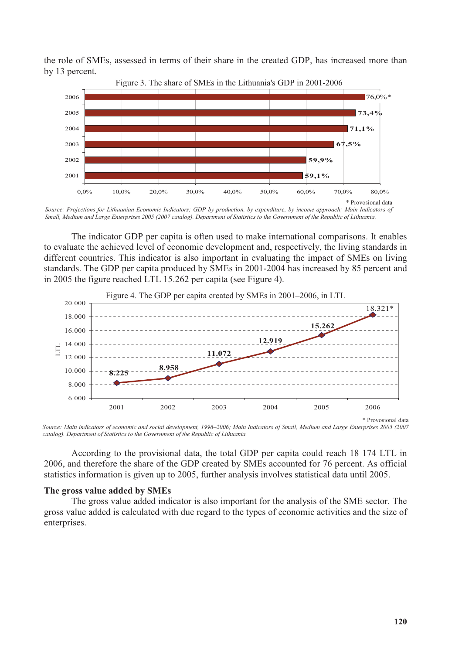the role of SMEs, assessed in terms of their share in the created GDP, has increased more than by 13 percent.



*Small, Medium and Large Enterprises 2005 (2007 catalog). Department of Statistics to the Government of the Republic of Lithuania.*

The indicator GDP per capita is often used to make international comparisons. It enables to evaluate the achieved level of economic development and, respectively, the living standards in different countries. This indicator is also important in evaluating the impact of SMEs on living standards. The GDP per capita produced by SMEs in 2001-2004 has increased by 85 percent and in 2005 the figure reached LTL 15.262 per capita (see Figure 4).



*Source: Main indicators of economic and social development, 1996–2006; Main Indicators of Small, Medium and Large Enterprises 2005 (2007 catalog). Department of Statistics to the Government of the Republic of Lithuania.* 

According to the provisional data, the total GDP per capita could reach 18 174 LTL in 2006, and therefore the share of the GDP created by SMEs accounted for 76 percent. As official statistics information is given up to 2005, further analysis involves statistical data until 2005.

# **The gross value added by SMEs**

The gross value added indicator is also important for the analysis of the SME sector. The gross value added is calculated with due regard to the types of economic activities and the size of enterprises.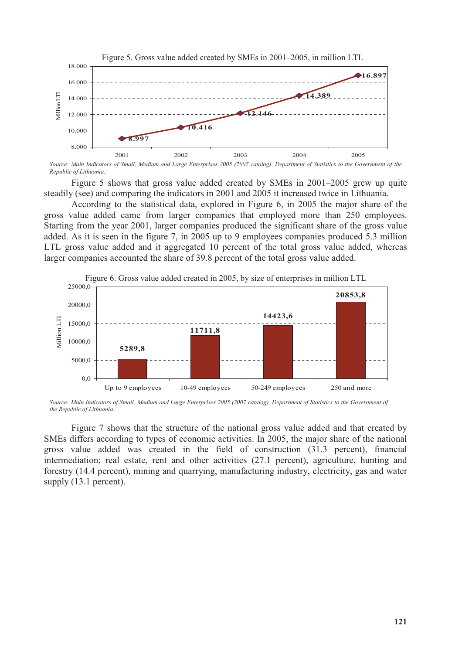

*Source: Main Indicators of Small, Medium and Large Enterprises 2005 (2007 catalog). Department of Statistics to the Government of the Republic of Lithuania.* 

Figure 5 shows that gross value added created by SMEs in 2001–2005 grew up quite steadily (see) and comparing the indicators in 2001 and 2005 it increased twice in Lithuania.

According to the statistical data, explored in Figure 6, in 2005 the major share of the gross value added came from larger companies that employed more than 250 employees. Starting from the year 2001, larger companies produced the significant share of the gross value added. As it is seen in the figure 7, in 2005 up to 9 employees companies produced 5.3 million LTL gross value added and it aggregated 10 percent of the total gross value added, whereas larger companies accounted the share of 39.8 percent of the total gross value added.



Figure 6. Gross value added created in 2005, by size of enterprises in million LTL

Source: Main Indicators of Small, Medium and Large Enterprises 2005 (2007 catalog). Department of Statistics to the Government of *the Republic of Lithuania.*

Figure 7 shows that the structure of the national gross value added and that created by SMEs differs according to types of economic activities. In 2005, the major share of the national gross value added was created in the field of construction (31.3 percent), financial intermediation; real estate, rent and other activities (27.1 percent), agriculture, hunting and forestry (14.4 percent), mining and quarrying, manufacturing industry, electricity, gas and water supply  $(13.1$  percent).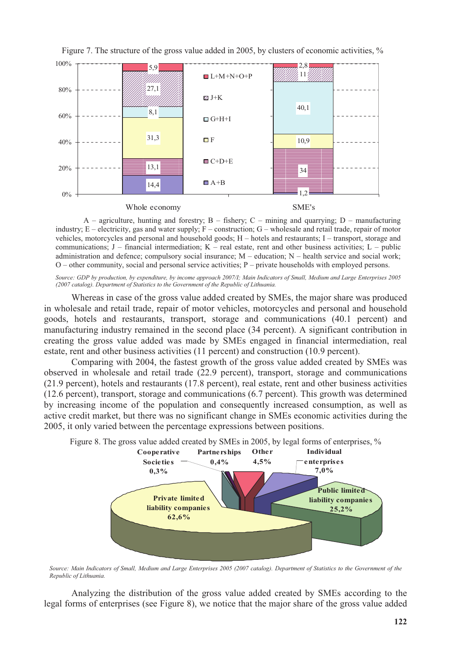

Figure 7. The structure of the gross value added in 2005, by clusters of economic activities, %

 $A$  – agriculture, hunting and forestry; B – fishery; C – mining and quarrying; D – manufacturing industry;  $E$  – electricity, gas and water supply;  $F$  – construction;  $G$  – wholesale and retail trade, repair of motor vehicles, motorcycles and personal and household goods; H – hotels and restaurants; I – transport, storage and communications;  $J$  – financial intermediation;  $K$  – real estate, rent and other business activities;  $L$  – public administration and defence; compulsory social insurance; M – education; N – health service and social work; O – other community, social and personal service activities; P – private households with employed persons.

*Source: GDP by production, by expenditure, by income approach 2007/I; Main Indicators of Small, Medium and Large Enterprises 2005 (2007 catalog). Department of Statistics to the Government of the Republic of Lithuania.* 

Whereas in case of the gross value added created by SMEs, the major share was produced in wholesale and retail trade, repair of motor vehicles, motorcycles and personal and household goods, hotels and restaurants, transport, storage and communications (40.1 percent) and manufacturing industry remained in the second place (34 percent). A significant contribution in creating the gross value added was made by SMEs engaged in financial intermediation, real estate, rent and other business activities (11 percent) and construction (10.9 percent).

Comparing with 2004, the fastest growth of the gross value added created by SMEs was observed in wholesale and retail trade (22.9 percent), transport, storage and communications (21.9 percent), hotels and restaurants (17.8 percent), real estate, rent and other business activities (12.6 percent), transport, storage and communications (6.7 percent). This growth was determined by increasing income of the population and consequently increased consumption, as well as active credit market, but there was no significant change in SMEs economic activities during the 2005, it only varied between the percentage expressions between positions.



*Source: Main Indicators of Small, Medium and Large Enterprises 2005 (2007 catalog). Department of Statistics to the Government of the Republic of Lithuania.* 

Analyzing the distribution of the gross value added created by SMEs according to the legal forms of enterprises (see Figure 8), we notice that the major share of the gross value added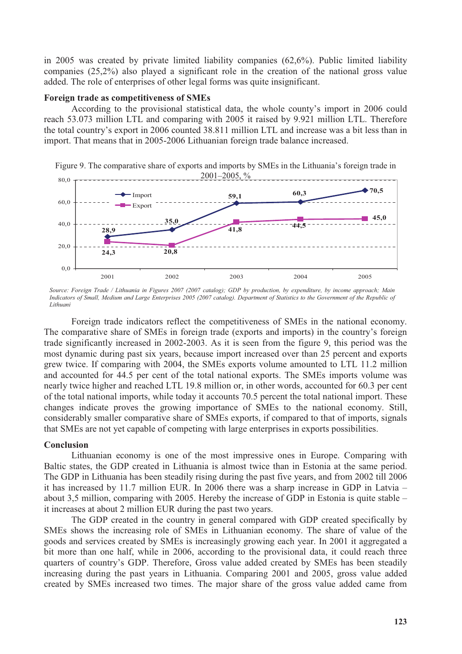in 2005 was created by private limited liability companies (62,6%). Public limited liability companies (25,2%) also played a significant role in the creation of the national gross value added. The role of enterprises of other legal forms was quite insignificant.

# **Foreign trade as competitiveness of SMEs**

According to the provisional statistical data, the whole county's import in 2006 could reach 53.073 million LTL and comparing with 2005 it raised by 9.921 million LTL. Therefore the total country's export in 2006 counted 38.811 million LTL and increase was a bit less than in import. That means that in 2005-2006 Lithuanian foreign trade balance increased.

Figure 9. The comparative share of exports and imports by SMEs in the Lithuania's foreign trade in 2001–2005, %



*Source: Foreign Trade / Lithuania in Figures 2007 (2007 catalog); GDP by production, by expenditure, by income approach; Main Indicators of Small, Medium and Large Enterprises 2005 (2007 catalog). Department of Statistics to the Government of the Republic of Lithuani*

Foreign trade indicators reflect the competitiveness of SMEs in the national economy. The comparative share of SMEs in foreign trade (exports and imports) in the country's foreign trade significantly increased in 2002-2003. As it is seen from the figure 9, this period was the most dynamic during past six years, because import increased over than 25 percent and exports grew twice. If comparing with 2004, the SMEs exports volume amounted to LTL 11.2 million and accounted for 44.5 per cent of the total national exports. The SMEs imports volume was nearly twice higher and reached LTL 19.8 million or, in other words, accounted for 60.3 per cent of the total national imports, while today it accounts 70.5 percent the total national import. These changes indicate proves the growing importance of SMEs to the national economy. Still, considerably smaller comparative share of SMEs exports, if compared to that of imports, signals that SMEs are not yet capable of competing with large enterprises in exports possibilities.

# **Conclusion**

Lithuanian economy is one of the most impressive ones in Europe. Comparing with Baltic states, the GDP created in Lithuania is almost twice than in Estonia at the same period. The GDP in Lithuania has been steadily rising during the past five years, and from 2002 till 2006 it has increased by 11.7 million EUR. In 2006 there was a sharp increase in GDP in Latvia – about 3,5 million, comparing with 2005. Hereby the increase of GDP in Estonia is quite stable – it increases at about 2 million EUR during the past two years.

The GDP created in the country in general compared with GDP created specifically by SMEs shows the increasing role of SMEs in Lithuanian economy. The share of value of the goods and services created by SMEs is increasingly growing each year. In 2001 it aggregated a bit more than one half, while in 2006, according to the provisional data, it could reach three quarters of country's GDP. Therefore, Gross value added created by SMEs has been steadily increasing during the past years in Lithuania. Comparing 2001 and 2005, gross value added created by SMEs increased two times. The major share of the gross value added came from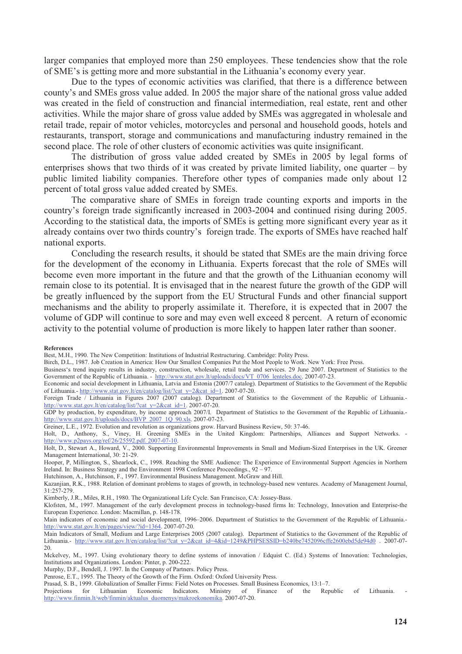larger companies that employed more than 250 employees. These tendencies show that the role of SME's is getting more and more substantial in the Lithuania's economy every year.

Due to the types of economic activities was clarified, that there is a difference between county's and SMEs gross value added. In 2005 the major share of the national gross value added was created in the field of construction and financial intermediation, real estate, rent and other activities. While the major share of gross value added by SMEs was aggregated in wholesale and retail trade, repair of motor vehicles, motorcycles and personal and household goods, hotels and restaurants, transport, storage and communications and manufacturing industry remained in the second place. The role of other clusters of economic activities was quite insignificant.

The distribution of gross value added created by SMEs in 2005 by legal forms of enterprises shows that two thirds of it was created by private limited liability, one quarter – by public limited liability companies. Therefore other types of companies made only about 12 percent of total gross value added created by SMEs.

The comparative share of SMEs in foreign trade counting exports and imports in the country's foreign trade significantly increased in 2003-2004 and continued rising during 2005. According to the statistical data, the imports of SMEs is getting more significant every year as it already contains over two thirds country's foreign trade. The exports of SMEs have reached half national exports.

Concluding the research results, it should be stated that SMEs are the main driving force for the development of the economy in Lithuania. Experts forecast that the role of SMEs will become even more important in the future and that the growth of the Lithuanian economy will remain close to its potential. It is envisaged that in the nearest future the growth of the GDP will be greatly influenced by the support from the EU Structural Funds and other financial support mechanisms and the ability to properly assimilate it. Therefore, it is expected that in 2007 the volume of GDP will continue to sore and may even well exceed 8 percent. A return of economic activity to the potential volume of production is more likely to happen later rather than sooner.

#### **References**

Hutchinson, A., Hutchinson, F., 1997. Environmental Business Management. McGraw and Hill.

Best, M.H., 1990. The New Competition: Institutions of Industrial Restructuring. Cambridge: Polity Press.

Birch, D.L., 1987. Job Creation in America: How Our Smallest Companies Put the Most People to Work. New York: Free Press.

Business's trend inquiry results in industry, construction, wholesale, retail trade and services. 29 June 2007. Department of Statistics to the Government of the Republic of Lithuania. - http://www.stat.gov.lt/uploads/docs/VT\_0706\_lenteles.doc. 2007-07-23.

Economic and social development in Lithuania, Latvia and Estonia (2007/7 catalog). Department of Statistics to the Government of the Republic of Lithuania.- http://www.stat.gov.lt/en/catalog/list/?cat\_y=2&cat\_id=1. 2007-07-20.

Foreign Trade / Lithuania in Figures 2007 (2007 catalog). Department of Statistics to the Government of the Republic of Lithuania.http://www.stat.gov.lt/en/catalog/list/?cat\_y=2&cat\_id=1. 2007-07-20.

GDP by production, by expenditure, by income approach 2007/I. Department of Statistics to the Government of the Republic of Lithuania.http://www.stat.gov.lt/uploads/docs/BVP\_2007\_1Q\_90.xls. 2007-07-23.

Greiner, L.E., 1972. Evolution and revolution as organizations grow. Harvard Business Review, 50: 37-46.

Holt, D., Anthony, S., Viney, H. Greening SMEs in the United Kingdom: Partnerships, Alliances and Support Networks. http://www.p2pays.org/ref/26/25592.pdf. 2007-07-10.

Holt, D., Stewart A., Howard, V., 2000. Supporting Environmental Improvements in Small and Medium-Sized Enterprises in the UK. Greener Management International, 30: 21-29.

Hooper, P, Millington, S., Shearlock, C., 1998. Reaching the SME Audience: The Experience of Environmental Support Agencies in Northern Ireland. In: Business Strategy and the Environment 1998 Conference Proceedings., 92 – 97.

Kazanjian, R.K., 1988. Relation of dominant problems to stages of growth, in technology-based new ventures. Academy of Management Journal, 31:257-279.

Kimberly, J.R., Miles, R.H., 1980. The Organizational Life Cycle. San Francisco, CA: Jossey-Bass.

Klofsten, M., 1997. Management of the early development process in technology-based firms In: Technology, Innovation and Enterprise-the European Experience. London: Macmillan, p. 148-178.

Main indicators of economic and social development, 1996–2006. Department of Statistics to the Government of the Republic of Lithuania. http://www.stat.gov.lt/en/pages/view/?id=1364. 2007-07-20.

Main Indicators of Small, Medium and Large Enterprises 2005 (2007 catalog). Department of Statistics to the Government of the Republic of Lithuania.- http://www.stat.gov.lt/en/catalog/list/?cat\_y=2&cat\_id=4&id=1249&PHPSESSID=b240be7452096cffe2600ebd5de94d0 . 2007-07-20.

Mckelvey, M., 1997. Using evolutionary theory to define systems of innovation / Edquist C. (Ed.) Systems of Innovation: Technologies, Institutions and Organizations. London: Pinter, p. 200-222.

Murphy, D.F., Bendell, J. 1997. In the Company of Partners. Policy Press.

Penrose, E.T., 1995. The Theory of the Growth of the Firm. Oxford: Oxford University Press.

Prasad, S. B., 1999. Globalization of Smaller Firms: Field Notes on Processes. Small Business Economics, 13:1–7.

Projections for Lithuanian Economic Indicators. Ministry of Finance of the Republic of Lithuania. http://www.finmin.lt/web/finmin/aktualus\_duomenys/makroekonomika. 2007-07-20.